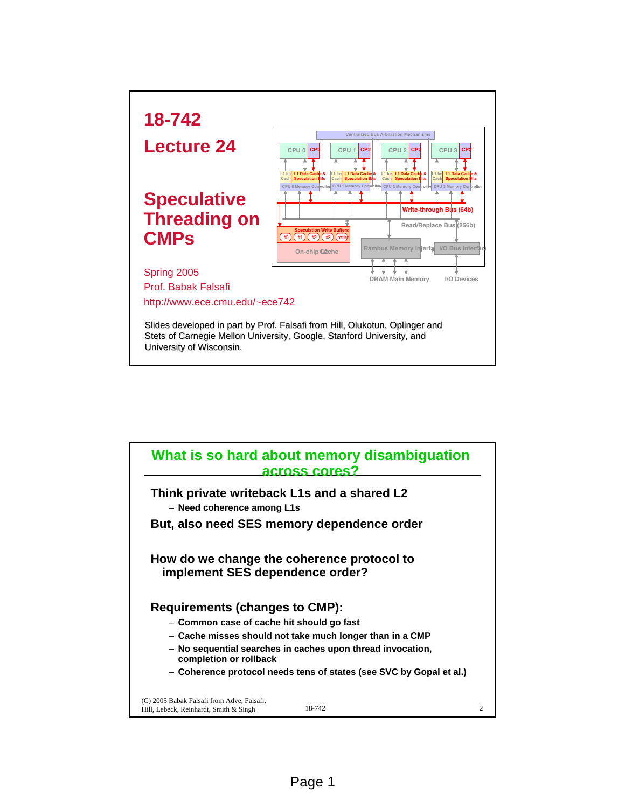

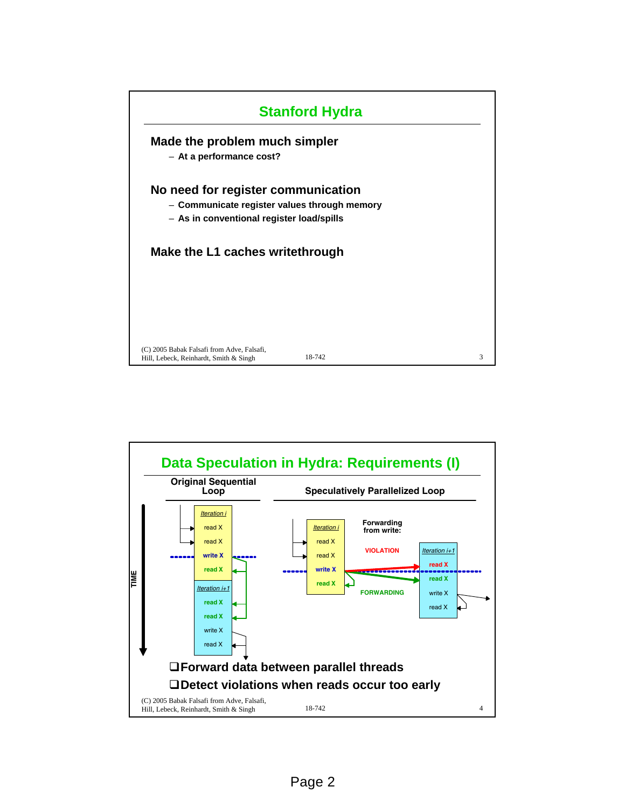

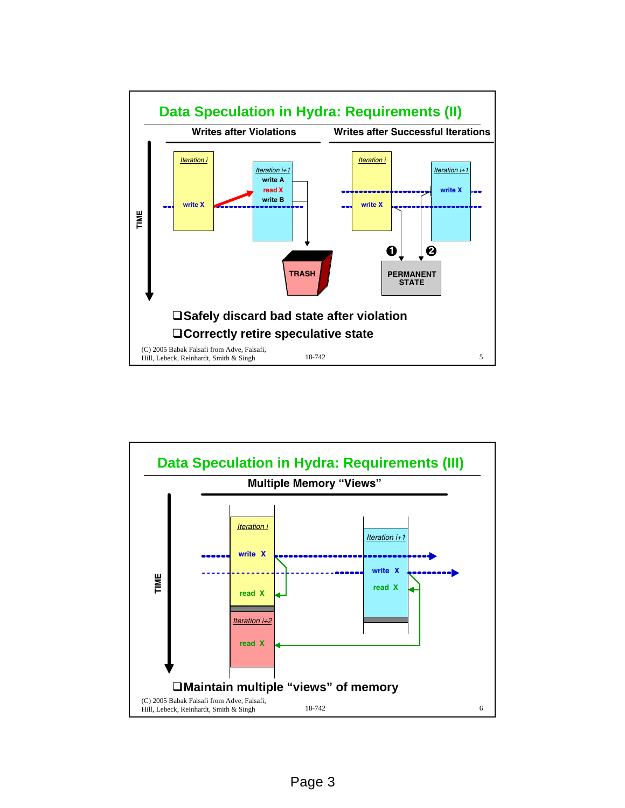

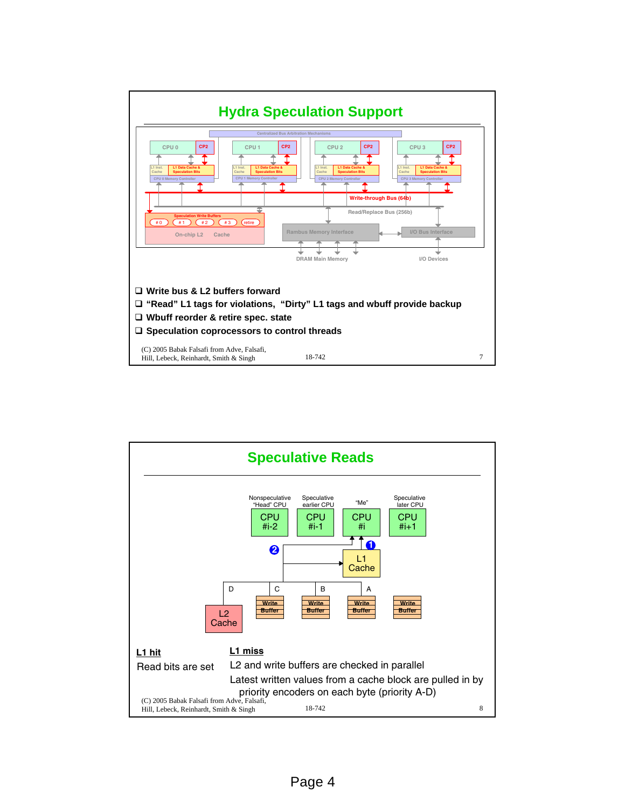

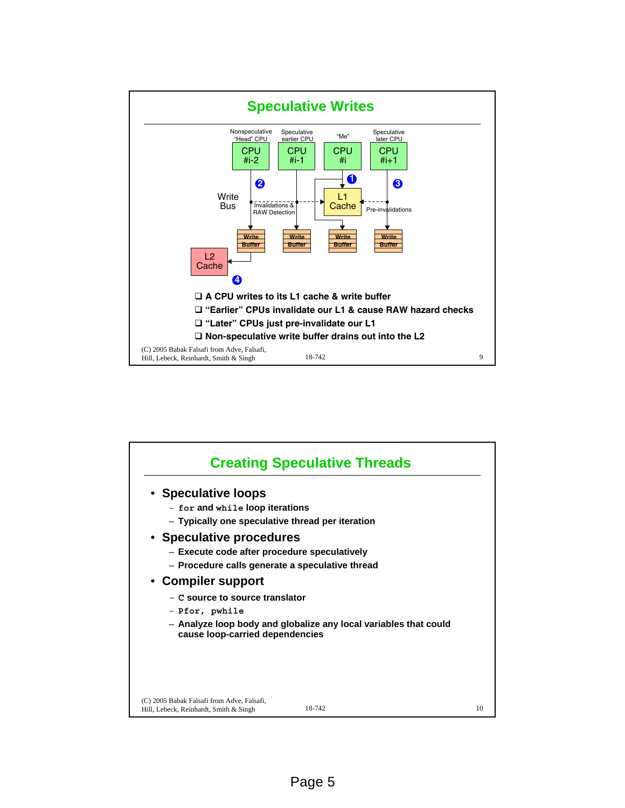

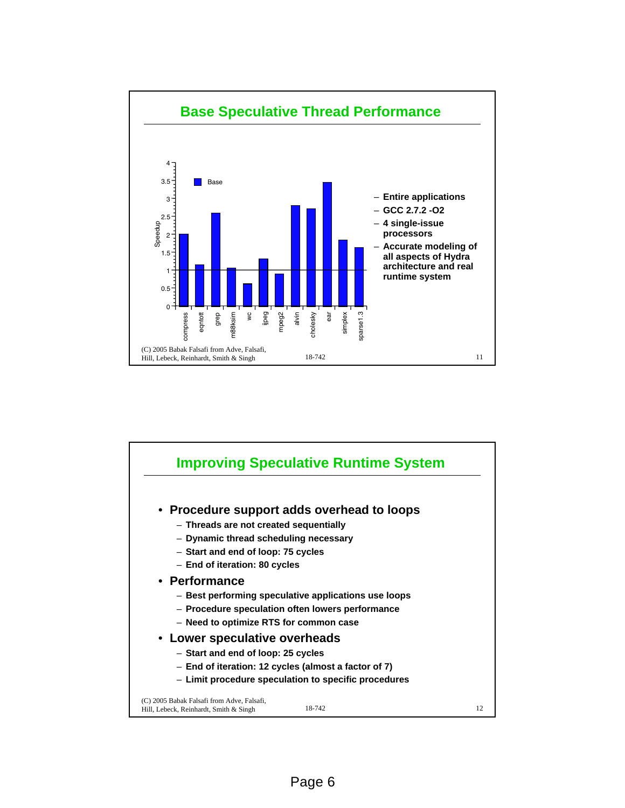

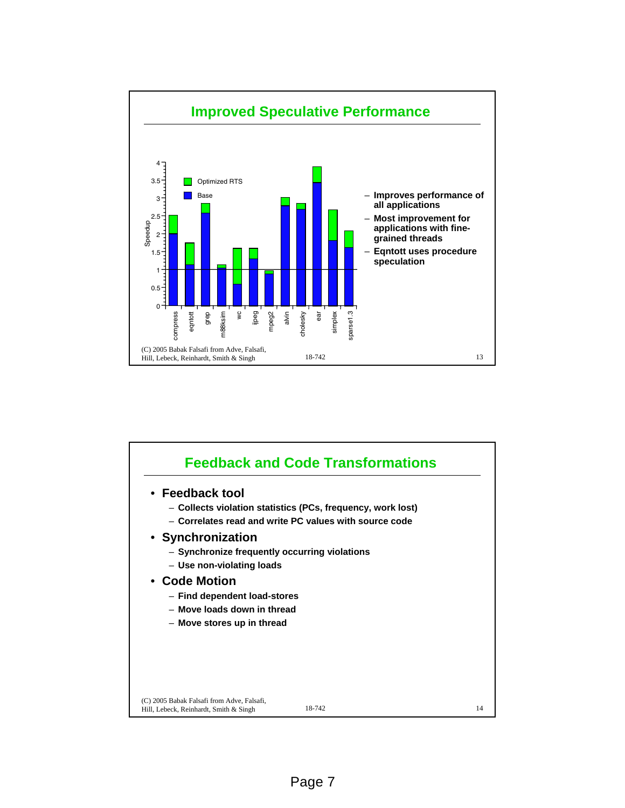

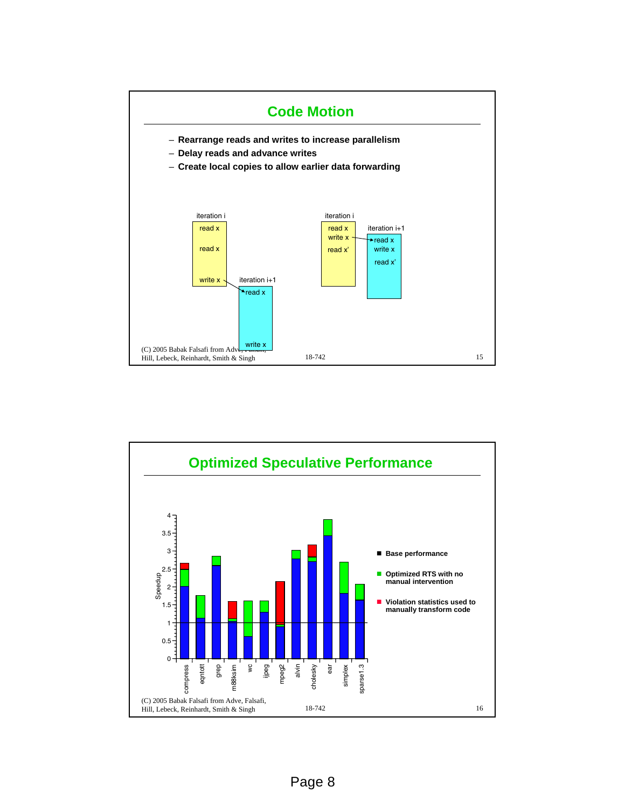